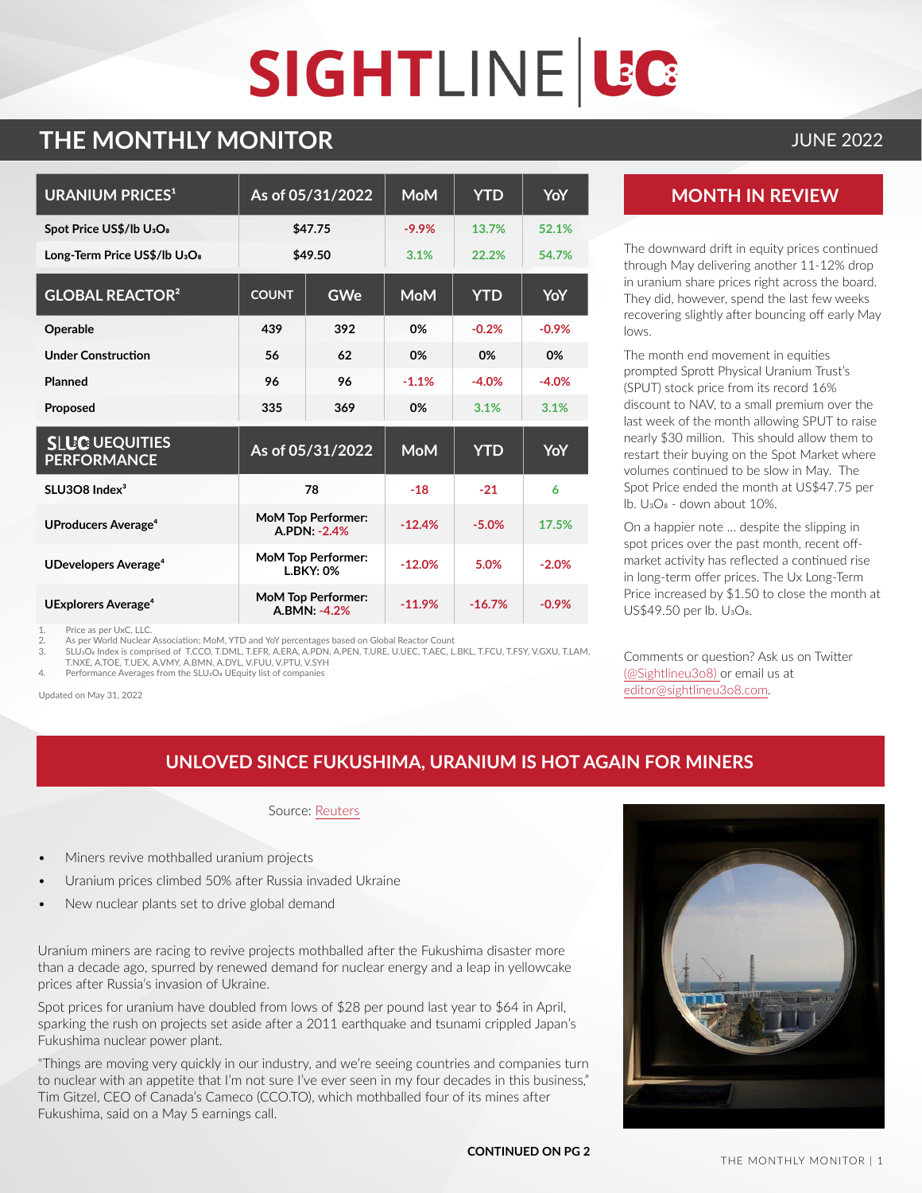# SIGHTLINE LG

### **THE MONTHLY MONITOR** *CONTRUX MONITOR*

| <b>URANIUM PRICES1</b>                                | As of 05/31/2022                              |            | <b>MoM</b> | <b>YTD</b> | YoY     |
|-------------------------------------------------------|-----------------------------------------------|------------|------------|------------|---------|
| Spot Price US\$/lb U <sub>3</sub> O <sub>8</sub>      | \$47.75                                       |            | $-9.9%$    | 13.7%      | 52.1%   |
| Long-Term Price US\$/lb U <sub>3</sub> O <sub>8</sub> | \$49.50                                       |            | 3.1%       | 22.2%      | 54.7%   |
| <b>GLOBAL REACTOR<sup>2</sup></b>                     | <b>COUNT</b>                                  | <b>GWe</b> | <b>MoM</b> | <b>YTD</b> | YoY     |
| Operable                                              | 439                                           | 392        | 0%         | $-0.2%$    | $-0.9%$ |
| <b>Under Construction</b>                             | 56                                            | 62         | 0%         | 0%         | 0%      |
| Planned                                               | 96                                            | 96         | $-1.1%$    | $-4.0%$    | $-4.0%$ |
| Proposed                                              | 335                                           | 369        | 0%         | 3.1%       | 3.1%    |
| <b>SLUC UEQUITIES</b><br><b>PERFORMANCE</b>           | As of 05/31/2022                              |            | <b>MoM</b> | <b>YTD</b> | YoY     |
| SLU3O8 Index <sup>3</sup>                             | 78                                            |            | $-18$      | $-21$      | 6       |
| <b>UProducers Average<sup>4</sup></b>                 | <b>MoM Top Performer:</b><br>$A.PDN: -2.4%$   |            | $-12.4%$   | $-5.0%$    | 17.5%   |
| UDevelopers Average <sup>4</sup>                      | <b>MoM Top Performer:</b><br><b>L.BKY: 0%</b> |            | $-12.0%$   | 5.0%       | $-2.0%$ |
| UExplorers Average <sup>4</sup>                       | <b>MoM Top Performer:</b><br>A.BMN: -4.2%     |            | $-11.9%$   | $-16.7%$   | $-0.9%$ |

<sup>1.</sup> Price as per UxC, LLC.

2. As per World Nuclear Association; MoM, YTD and YoY percentages based on Global Reactor Count<br>3. SI U<sub>2</sub>O<sub>8</sub> Index is comprised of TCCO TDML TEER A FRA A PDN A PEN TURE UIJEC TAEC I

3. SLU3O8 Index is comprised of T.CCO, T.DML, T.EFR, A.ERA, A.PDN, A.PEN, T.URE, U.UEC, T.AEC, L.BKL, T.FCU, T.FSY, V.GXU, T.LAM, T.NXE, A.TOE, T.UEX, A.VMY, A.BMN, A.DYL, V.FUU, V.PTU, V.SYH

4. Performance Averages from the SLU<sub>3</sub>O<sub>8</sub> UEquity list of companies

Updated on May 31, 2022

### **MONTH IN REVIEW**

The downward drift in equity prices continued through May delivering another 11-12% drop in uranium share prices right across the board. They did, however, spend the last few weeks recovering slightly after bouncing off early May lows.

The month end movement in equities prompted Sprott Physical Uranium Trust's (SPUT) stock price from its record 16% discount to NAV, to a small premium over the last week of the month allowing SPUT to raise nearly \$30 million. This should allow them to restart their buying on the Spot Market where volumes continued to be slow in May. The Spot Price ended the month at US\$47.75 per lb. U3O8 - down about 10%.

On a happier note … despite the slipping in spot prices over the past month, recent offmarket activity has reflected a continued rise in long-term offer prices. The Ux Long-Term Price increased by \$1.50 to close the month at US\$49.50 per lb. U<sub>3</sub>O<sub>8</sub>.

Comments or question? Ask us on Twitter [\(@Sightlineu3o8\)](http://www.twitter.com/sightlineu3o8) or email us at [editor@sightlineu3o8.com](mailto:editor%40sightlineu3o8.com?subject=).

### **UNLOVED SINCE FUKUSHIMA, URANIUM IS HOT AGAIN FOR MINERS**

#### Source: [Reuters](https://sightlineu3o8.com/2022/05/unloved-since-fukushima-uranium-is-hot-again-for-miners/)

- Miners revive mothballed uranium projects
- Uranium prices climbed 50% after Russia invaded Ukraine
- New nuclear plants set to drive global demand

Uranium miners are racing to revive projects mothballed after the Fukushima disaster more than a decade ago, spurred by renewed demand for nuclear energy and a leap in yellowcake prices after Russia's invasion of Ukraine.

Spot prices for uranium have doubled from lows of \$28 per pound last year to \$64 in April, sparking the rush on projects set aside after a 2011 earthquake and tsunami crippled Japan's Fukushima nuclear power plant.

"Things are moving very quickly in our industry, and we're seeing countries and companies turn to nuclear with an appetite that I'm not sure I've ever seen in my four decades in this business," Tim Gitzel, CEO of Canada's Cameco (CCO.TO), which mothballed four of its mines after Fukushima, said on a May 5 earnings call.

**CONTINUED ON PG 2**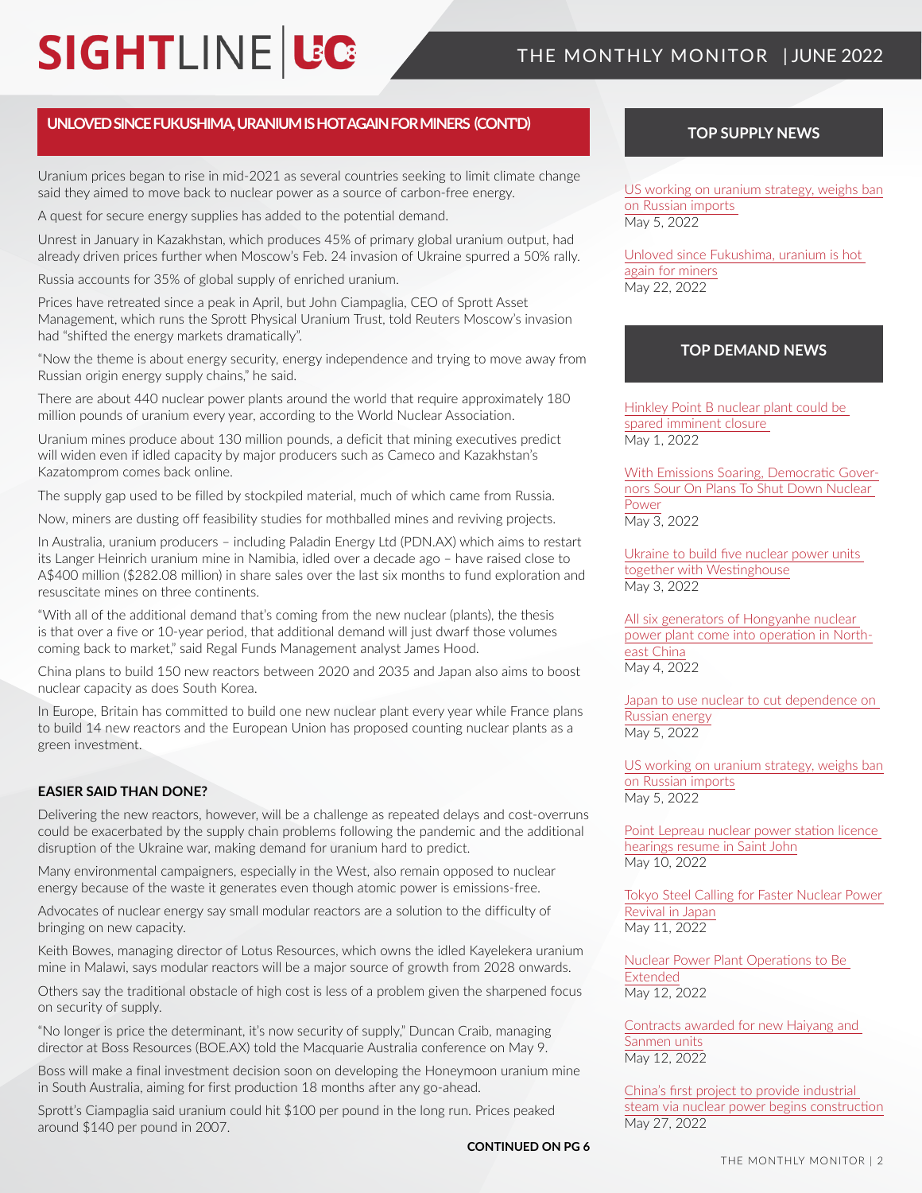## SIGHTLINE LC

### **UNLOVED SINCE FUKUSHIMA, URANIUM IS HOT AGAIN FOR MINERS (CONT'D)**

Uranium prices began to rise in mid-2021 as several countries seeking to limit climate change said they aimed to move back to nuclear power as a source of carbon-free energy.

A quest for secure energy supplies has added to the potential demand.

Unrest in January in Kazakhstan, which produces 45% of primary global uranium output, had already driven prices further when Moscow's Feb. 24 invasion of Ukraine spurred a 50% rally.

Russia accounts for 35% of global supply of enriched uranium.

Prices have retreated since a peak in April, but John Ciampaglia, CEO of Sprott Asset Management, which runs the Sprott Physical Uranium Trust, told Reuters Moscow's invasion had "shifted the energy markets dramatically".

"Now the theme is about energy security, energy independence and trying to move away from Russian origin energy supply chains," he said.

There are about 440 nuclear power plants around the world that require approximately 180 million pounds of uranium every year, according to the World Nuclear Association.

Uranium mines produce about 130 million pounds, a deficit that mining executives predict will widen even if idled capacity by major producers such as Cameco and Kazakhstan's Kazatomprom comes back online.

The supply gap used to be filled by stockpiled material, much of which came from Russia.

Now, miners are dusting off feasibility studies for mothballed mines and reviving projects.

In Australia, uranium producers – including Paladin Energy Ltd (PDN.AX) which aims to restart its Langer Heinrich uranium mine in Namibia, idled over a decade ago – have raised close to A\$400 million (\$282.08 million) in share sales over the last six months to fund exploration and resuscitate mines on three continents.

"With all of the additional demand that's coming from the new nuclear (plants), the thesis is that over a five or 10-year period, that additional demand will just dwarf those volumes coming back to market," said Regal Funds Management analyst James Hood.

China plans to build 150 new reactors between 2020 and 2035 and Japan also aims to boost nuclear capacity as does South Korea.

In Europe, Britain has committed to build one new nuclear plant every year while France plans to build 14 new reactors and the European Union has proposed counting nuclear plants as a green investment.

#### **EASIER SAID THAN DONE?**

Delivering the new reactors, however, will be a challenge as repeated delays and cost-overruns could be exacerbated by the supply chain problems following the pandemic and the additional disruption of the Ukraine war, making demand for uranium hard to predict.

Many environmental campaigners, especially in the West, also remain opposed to nuclear energy because of the waste it generates even though atomic power is emissions-free.

Advocates of nuclear energy say small modular reactors are a solution to the difficulty of bringing on new capacity.

Keith Bowes, managing director of Lotus Resources, which owns the idled Kayelekera uranium mine in Malawi, says modular reactors will be a major source of growth from 2028 onwards.

Others say the traditional obstacle of high cost is less of a problem given the sharpened focus on security of supply.

"No longer is price the determinant, it's now security of supply," Duncan Craib, managing director at Boss Resources (BOE.AX) told the Macquarie Australia conference on May 9.

Boss will make a final investment decision soon on developing the Honeymoon uranium mine in South Australia, aiming for first production 18 months after any go-ahead.

Sprott's Ciampaglia said uranium could hit \$100 per pound in the long run. Prices peaked around \$140 per pound in 2007.

**CONTINUED ON PG 6**

### **TOP SUPPLY NEWS**

[US working on uranium strategy, weighs ban](https://sightlineu3o8.com/2022/05/us-working-on-uranium-strategy-weighs-ban-on-russian-imports-energy-secretary/)  [on Russian imports](https://sightlineu3o8.com/2022/05/us-working-on-uranium-strategy-weighs-ban-on-russian-imports-energy-secretary/)  May 5, 2022

[Unloved since Fukushima, uranium is hot](https://sightlineu3o8.com/2022/05/unloved-since-fukushima-uranium-is-hot-again-for-miners/)  [again for miners](https://sightlineu3o8.com/2022/05/unloved-since-fukushima-uranium-is-hot-again-for-miners/) May 22, 2022

#### **TOP DEMAND NEWS**

[Hinkley Point B nuclear plant could be](https://sightlineu3o8.com/2022/05/hinkley-point-b-nuclear-plant-could-be-spared-imminent-closure/)  [spared imminent closure](https://sightlineu3o8.com/2022/05/hinkley-point-b-nuclear-plant-could-be-spared-imminent-closure/)  May 1, 2022

[With Emissions Soaring, Democratic Gover](https://sightlineu3o8.com/2022/05/with-emissions-soaring-democratic-governors-sour-on-plans-to-shut-down-nuclear-power/)[nors Sour On Plans To Shut Down Nuclear](https://sightlineu3o8.com/2022/05/with-emissions-soaring-democratic-governors-sour-on-plans-to-shut-down-nuclear-power/)  [Power](https://sightlineu3o8.com/2022/05/with-emissions-soaring-democratic-governors-sour-on-plans-to-shut-down-nuclear-power/) May 3, 2022

[Ukraine to build five nuclear power units](https://sightlineu3o8.com/2022/05/ukraine-to-build-five-nuclear-power-units-together-with-westinghouse/)  [together with Westinghouse](https://sightlineu3o8.com/2022/05/ukraine-to-build-five-nuclear-power-units-together-with-westinghouse/) May 3, 2022

[All six generators of Hongyanhe nuclear](https://sightlineu3o8.com/2022/05/all-six-generators-of-hongyanhe-nuclear-power-plant-come-into-operation-in-northeast-china/)  [power plant come into operation in North](https://sightlineu3o8.com/2022/05/all-six-generators-of-hongyanhe-nuclear-power-plant-come-into-operation-in-northeast-china/)[east China](https://sightlineu3o8.com/2022/05/all-six-generators-of-hongyanhe-nuclear-power-plant-come-into-operation-in-northeast-china/) May 4, 2022

[Japan to use nuclear to cut dependence on](https://sightlineu3o8.com/2022/05/japan-to-use-nuclear-to-cut-dependence-on-russian-energy-pm-kishida/)  [Russian energy](https://sightlineu3o8.com/2022/05/japan-to-use-nuclear-to-cut-dependence-on-russian-energy-pm-kishida/) May 5, 2022

[US working on uranium strategy, weighs ban](https://sightlineu3o8.com/2022/05/us-working-on-uranium-strategy-weighs-ban-on-russian-imports-energy-secretary/)  [on Russian imports](https://sightlineu3o8.com/2022/05/us-working-on-uranium-strategy-weighs-ban-on-russian-imports-energy-secretary/) May 5, 2022

[Point Lepreau nuclear power station licence](https://sightlineu3o8.com/2022/05/point-lepreau-nuclear-power-station-licence-hearings-resume-in-saint-john/)  [hearings resume in Saint John](https://sightlineu3o8.com/2022/05/point-lepreau-nuclear-power-station-licence-hearings-resume-in-saint-john/) May 10, 2022

[Tokyo Steel Calling for Faster Nuclear Power](https://sightlineu3o8.com/2022/05/tokyo-steel-calling-for-faster-nuclear-power-revival-in-japan/)  [Revival in Japan](https://sightlineu3o8.com/2022/05/tokyo-steel-calling-for-faster-nuclear-power-revival-in-japan/) May 11, 2022

[Nuclear Power Plant Operations to Be](https://sightlineu3o8.com/2022/05/nuclear-power-plant-operations-to-be-extended/)  **[Extended](https://sightlineu3o8.com/2022/05/nuclear-power-plant-operations-to-be-extended/)** May 12, 2022

[Contracts awarded for new Haiyang and](https://sightlineu3o8.com/2022/05/contracts-awarded-for-new-haiyang-and-sanmen-units/)  [Sanmen units](https://sightlineu3o8.com/2022/05/contracts-awarded-for-new-haiyang-and-sanmen-units/) May 12, 2022

[China's first project to provide industrial](https://sightlineu3o8.com/2022/05/chinas-first-project-to-provide-industrial-steam-via-nuclear-power-begins-construction/)  [steam via nuclear power begins construction](https://sightlineu3o8.com/2022/05/chinas-first-project-to-provide-industrial-steam-via-nuclear-power-begins-construction/) May 27, 2022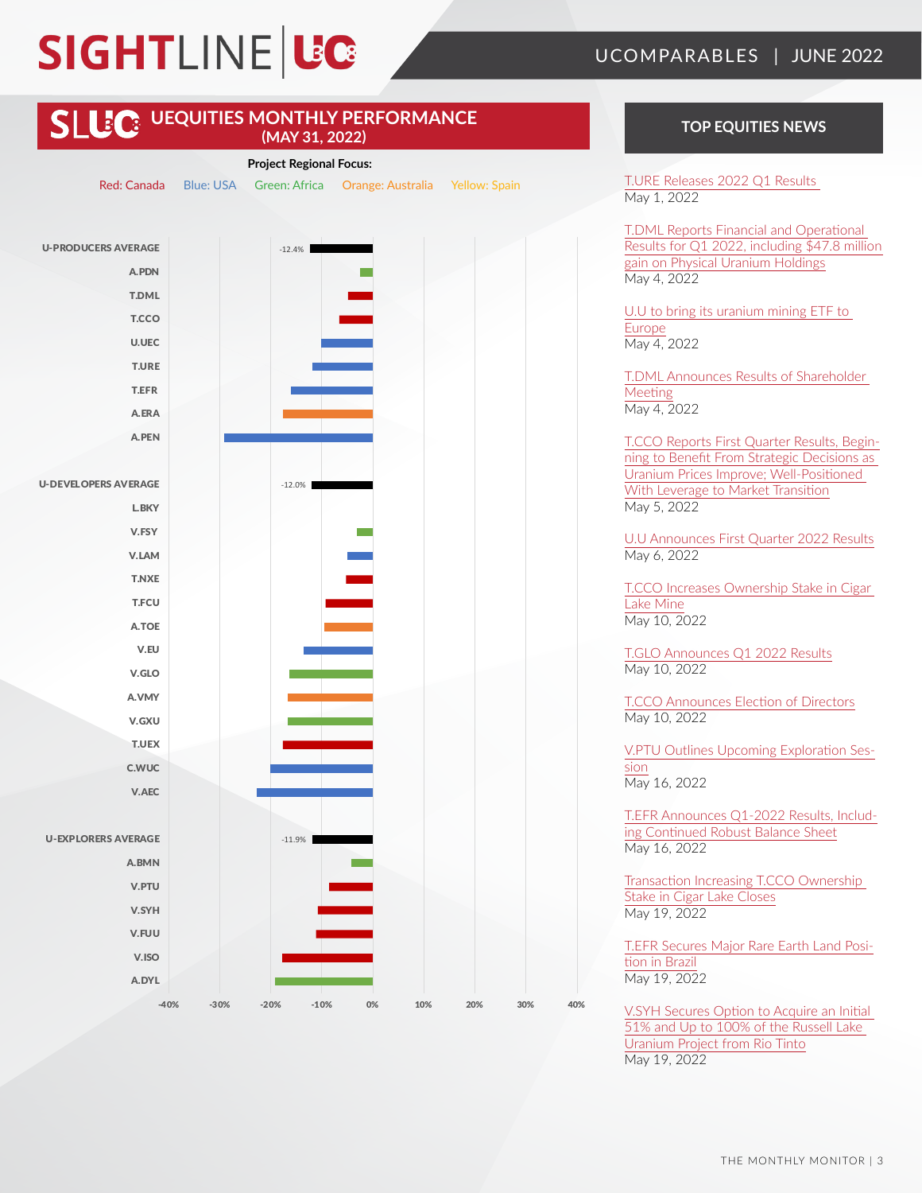# SIGHTLINE **LEG**

### UCOMPARABLES | JUNE 2022



[V.SYH Secures Option to Acquire an Initial](https://sightlineu3o8.com/2022/05/v-syh-secures-option-to-acquire-an-initial-51-and-up-to-100-of-the-russell-lake-uranium-project-from-rio-tinto-in-the-athabasca-basin-of-saskatchewan/)  [51% and Up to 100% of the Russell Lake](https://sightlineu3o8.com/2022/05/v-syh-secures-option-to-acquire-an-initial-51-and-up-to-100-of-the-russell-lake-uranium-project-from-rio-tinto-in-the-athabasca-basin-of-saskatchewan/)  [Uranium Project from Rio Tinto](https://sightlineu3o8.com/2022/05/v-syh-secures-option-to-acquire-an-initial-51-and-up-to-100-of-the-russell-lake-uranium-project-from-rio-tinto-in-the-athabasca-basin-of-saskatchewan/) May 19, 2022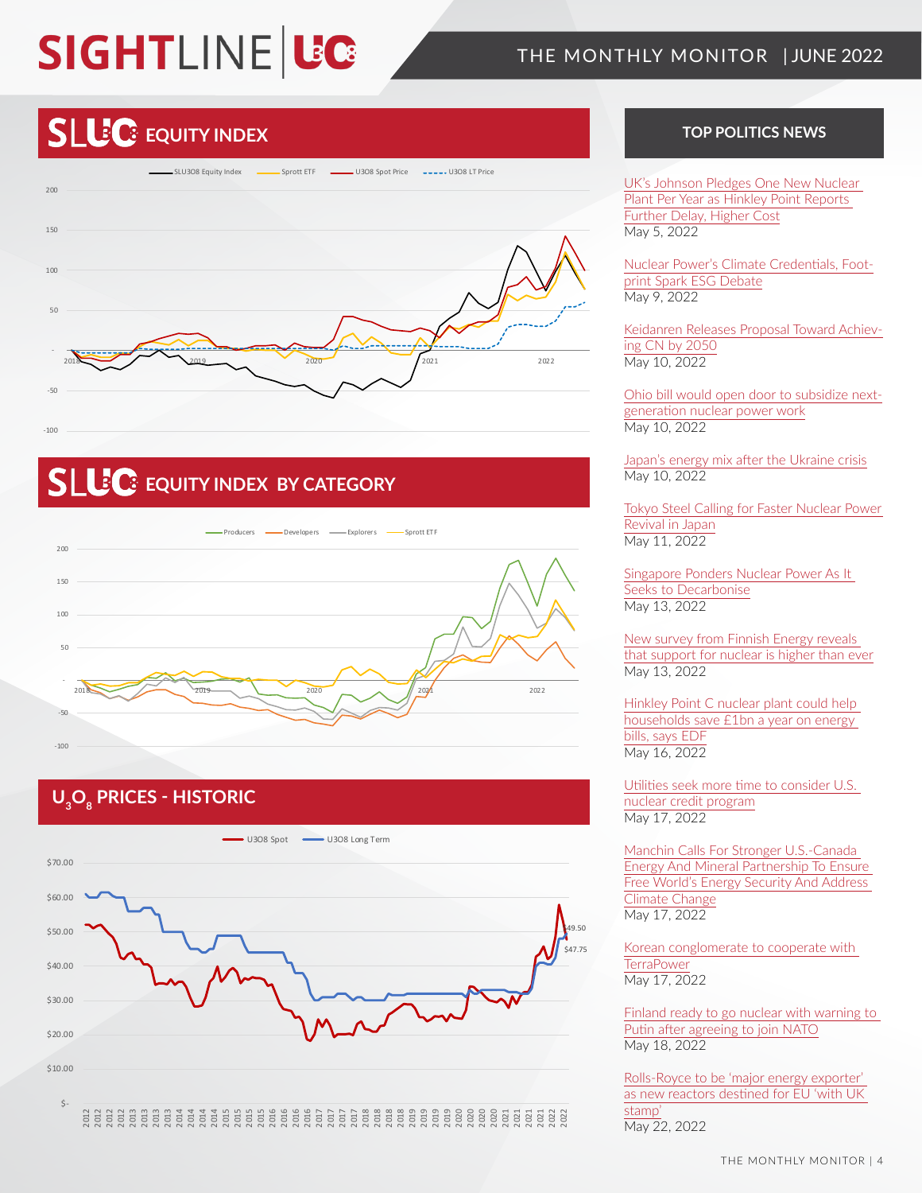## SIGHTLINE **LC**

### **SLUC** EQUITY INDEX



### **EC** EQUITY INDEX BY CATEGORY



### **U3O8 PRICES - HISTORIC**



### **TOP POLITICS NEWS**

[UK's Johnson Pledges One New Nuclear](https://sightlineu3o8.com/2022/05/uks-johnson-pledges-one-new-nuclear-plant-per-year-as-hinkley-point-reports-further-delay-higher-cost/)  [Plant Per Year as Hinkley Point Reports](https://sightlineu3o8.com/2022/05/uks-johnson-pledges-one-new-nuclear-plant-per-year-as-hinkley-point-reports-further-delay-higher-cost/)  [Further Delay, Higher Cost](https://sightlineu3o8.com/2022/05/uks-johnson-pledges-one-new-nuclear-plant-per-year-as-hinkley-point-reports-further-delay-higher-cost/) May 5, 2022

[Nuclear Power's Climate Credentials, Foot](https://sightlineu3o8.com/2022/05/nuclear-powers-climate-credentials-footprint-spark-esg-debate/)[print Spark ESG Debate](https://sightlineu3o8.com/2022/05/nuclear-powers-climate-credentials-footprint-spark-esg-debate/) May 9, 2022

[Keidanren Releases Proposal Toward Achiev](https://sightlineu3o8.com/2022/05/keidanren-releases-proposal-toward-achieving-cn-by-2050/)[ing CN by 2050](https://sightlineu3o8.com/2022/05/keidanren-releases-proposal-toward-achieving-cn-by-2050/) May 10, 2022

[Ohio bill would open door to subsidize next](https://sightlineu3o8.com/2022/05/ohio-bill-would-open-door-to-subsidize-next-generation-nuclear-power-work/)[generation nuclear power work](https://sightlineu3o8.com/2022/05/ohio-bill-would-open-door-to-subsidize-next-generation-nuclear-power-work/) May 10, 2022

[Japan's energy mix after the Ukraine crisis](https://sightlineu3o8.com/2022/05/japans-energy-mix-after-the-ukraine-crisis/) May 10, 2022

[Tokyo Steel Calling for Faster Nuclear Power](https://sightlineu3o8.com/2022/05/tokyo-steel-calling-for-faster-nuclear-power-revival-in-japan/)  [Revival in Japan](https://sightlineu3o8.com/2022/05/tokyo-steel-calling-for-faster-nuclear-power-revival-in-japan/) May 11, 2022

[Singapore Ponders Nuclear Power As It](https://sightlineu3o8.com/2022/05/singapore-ponders-nuclear-power-as-it-seeks-to-decarbonise/)  [Seeks to Decarbonise](https://sightlineu3o8.com/2022/05/singapore-ponders-nuclear-power-as-it-seeks-to-decarbonise/) May 13, 2022

[New survey from Finnish Energy reveals](https://sightlineu3o8.com/2022/05/new-survey-from-finnish-energy-reveals-that-support-for-nuclear-is-higher-than-ever/)  [that support for nuclear is higher than ever](https://sightlineu3o8.com/2022/05/new-survey-from-finnish-energy-reveals-that-support-for-nuclear-is-higher-than-ever/) May 13, 2022

[Hinkley Point C nuclear plant could help](https://sightlineu3o8.com/2022/05/homeeconomic-developmentenergy-hinkley-point-c-nuclear-plant-could-help-households-save-1bn-a-year-on-energy-bills-says-edf/)  [households save £1bn a year on energy](https://sightlineu3o8.com/2022/05/homeeconomic-developmentenergy-hinkley-point-c-nuclear-plant-could-help-households-save-1bn-a-year-on-energy-bills-says-edf/)  [bills, says EDF](https://sightlineu3o8.com/2022/05/homeeconomic-developmentenergy-hinkley-point-c-nuclear-plant-could-help-households-save-1bn-a-year-on-energy-bills-says-edf/) May 16, 2022

[Utilities seek more time to consider U.S.](https://sightlineu3o8.com/2022/05/utilities-seek-more-time-to-consider-u-s-nuclear-credit-program/)  [nuclear credit program](https://sightlineu3o8.com/2022/05/utilities-seek-more-time-to-consider-u-s-nuclear-credit-program/) May 17, 2022

[Manchin Calls For Stronger U.S.-Canada](https://sightlineu3o8.com/2022/05/manchin-calls-for-stronger-u-s-canada-energy-and-mineral-partnership-to-ensure-free-worlds-energy-security-and-address-climate-change/)  [Energy And Mineral Partnership To Ensure](https://sightlineu3o8.com/2022/05/manchin-calls-for-stronger-u-s-canada-energy-and-mineral-partnership-to-ensure-free-worlds-energy-security-and-address-climate-change/)  [Free World's Energy Security And Address](https://sightlineu3o8.com/2022/05/manchin-calls-for-stronger-u-s-canada-energy-and-mineral-partnership-to-ensure-free-worlds-energy-security-and-address-climate-change/)  [Climate Change](https://sightlineu3o8.com/2022/05/manchin-calls-for-stronger-u-s-canada-energy-and-mineral-partnership-to-ensure-free-worlds-energy-security-and-address-climate-change/) May 17, 2022

[Korean conglomerate to cooperate with](https://sightlineu3o8.com/2022/05/korean-conglomerate-to-cooperate-with-terrapower/)  **[TerraPower](https://sightlineu3o8.com/2022/05/korean-conglomerate-to-cooperate-with-terrapower/)** May 17, 2022

[Finland ready to go nuclear with warning to](https://sightlineu3o8.com/2022/05/finland-ready-to-go-nuclear-with-warning-to-putin-after-agreeing-to-join-nato/)  [Putin after agreeing to join NATO](https://sightlineu3o8.com/2022/05/finland-ready-to-go-nuclear-with-warning-to-putin-after-agreeing-to-join-nato/) May 18, 2022

[Rolls-Royce to be 'major energy exporter'](https://sightlineu3o8.com/2022/05/rolls-royce-to-be-major-energy-exporter-as-new-reactors-destined-for-eu-with-uk-stamp/)  [as new reactors destined for EU 'with UK](https://sightlineu3o8.com/2022/05/rolls-royce-to-be-major-energy-exporter-as-new-reactors-destined-for-eu-with-uk-stamp/)  [stamp'](https://sightlineu3o8.com/2022/05/rolls-royce-to-be-major-energy-exporter-as-new-reactors-destined-for-eu-with-uk-stamp/) May 22, 2022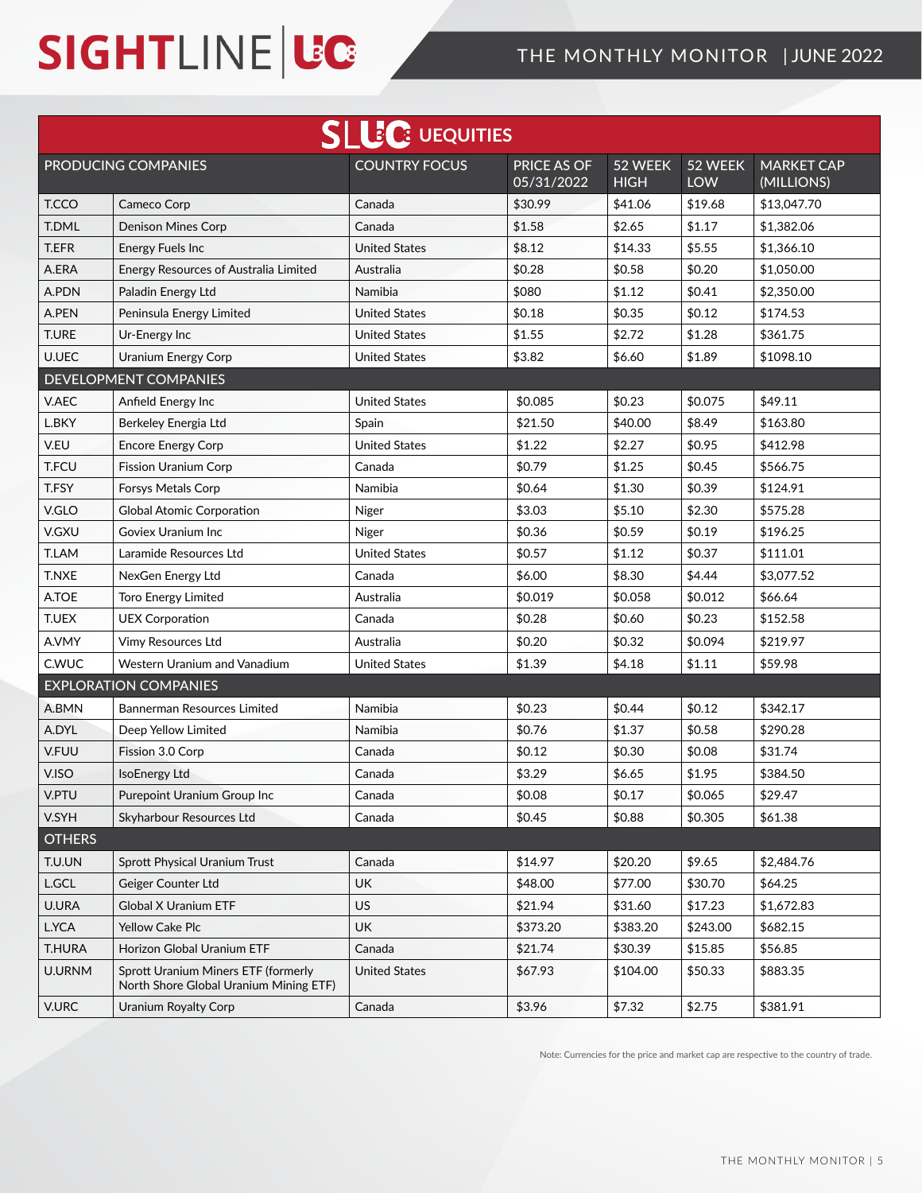# SIGHTLINE UC

|                              |                                                                               | <b>SLEC</b> UEQUITIES |                           |                        |                |                                 |
|------------------------------|-------------------------------------------------------------------------------|-----------------------|---------------------------|------------------------|----------------|---------------------------------|
|                              | PRODUCING COMPANIES                                                           | <b>COUNTRY FOCUS</b>  | PRICE AS OF<br>05/31/2022 | 52 WEEK<br><b>HIGH</b> | 52 WEEK<br>LOW | <b>MARKET CAP</b><br>(MILLIONS) |
| T.CCO                        | Cameco Corp                                                                   | Canada                | \$30.99                   | \$41.06                | \$19.68        | \$13,047.70                     |
| T.DML                        | <b>Denison Mines Corp</b>                                                     | Canada                | \$1.58                    | \$2.65                 | \$1.17         | \$1,382.06                      |
| T.EFR                        | <b>Energy Fuels Inc</b>                                                       | <b>United States</b>  | \$8.12                    | \$14.33                | \$5.55         | \$1,366.10                      |
| A.ERA                        | Energy Resources of Australia Limited                                         | Australia             | \$0.28                    | \$0.58                 | \$0.20         | \$1,050.00                      |
| A.PDN                        | Paladin Energy Ltd                                                            | Namibia               | \$080                     | \$1.12                 | \$0.41         | \$2,350.00                      |
| A.PEN                        | Peninsula Energy Limited                                                      | <b>United States</b>  | \$0.18                    | \$0.35                 | \$0.12         | \$174.53                        |
| <b>T.URE</b>                 | Ur-Energy Inc                                                                 | <b>United States</b>  | \$1.55                    | \$2.72                 | \$1.28         | \$361.75                        |
| <b>U.UEC</b>                 | <b>Uranium Energy Corp</b>                                                    | <b>United States</b>  | \$3.82                    | \$6.60                 | \$1.89         | \$1098.10                       |
|                              | <b>DEVELOPMENT COMPANIES</b>                                                  |                       |                           |                        |                |                                 |
| V.AEC                        | Anfield Energy Inc                                                            | <b>United States</b>  | \$0.085                   | \$0.23                 | \$0.075        | \$49.11                         |
| L.BKY                        | Berkeley Energia Ltd                                                          | Spain                 | \$21.50                   | \$40.00                | \$8.49         | \$163.80                        |
| V.EU                         | <b>Encore Energy Corp</b>                                                     | <b>United States</b>  | \$1.22                    | \$2.27                 | \$0.95         | \$412.98                        |
| T.FCU                        | <b>Fission Uranium Corp</b>                                                   | Canada                | \$0.79                    | \$1.25                 | \$0.45         | \$566.75                        |
| T.FSY                        | <b>Forsys Metals Corp</b>                                                     | Namibia               | \$0.64                    | \$1.30                 | \$0.39         | \$124.91                        |
| V.GLO                        | <b>Global Atomic Corporation</b>                                              | Niger                 | \$3.03                    | \$5.10                 | \$2.30         | \$575.28                        |
| V.GXU                        | Goviex Uranium Inc                                                            | Niger                 | \$0.36                    | \$0.59                 | \$0.19         | \$196.25                        |
| <b>T.LAM</b>                 | Laramide Resources Ltd                                                        | <b>United States</b>  | \$0.57                    | \$1.12                 | \$0.37         | \$111.01                        |
| <b>T.NXE</b>                 | NexGen Energy Ltd                                                             | Canada                | \$6.00                    | \$8.30                 | \$4.44         | \$3,077.52                      |
| A.TOE                        | Toro Energy Limited                                                           | Australia             | \$0.019                   | \$0.058                | \$0.012        | \$66.64                         |
| <b>T.UEX</b>                 | <b>UEX Corporation</b>                                                        | Canada                | \$0.28                    | \$0.60                 | \$0.23         | \$152.58                        |
| A.VMY                        | Vimy Resources Ltd                                                            | Australia             | \$0.20                    | \$0.32                 | \$0.094        | \$219.97                        |
| C.WUC                        | Western Uranium and Vanadium                                                  | <b>United States</b>  | \$1.39                    | \$4.18                 | \$1.11         | \$59.98                         |
| <b>EXPLORATION COMPANIES</b> |                                                                               |                       |                           |                        |                |                                 |
| A.BMN                        | Bannerman Resources Limited                                                   | Namibia               | \$0.23                    | \$0.44                 | \$0.12         | \$342.17                        |
| A.DYL                        | Deep Yellow Limited                                                           | Namibia               | \$0.76                    | \$1.37                 | \$0.58         | \$290.28                        |
| V.FUU                        | Fission 3.0 Corp                                                              | Canada                | \$0.12                    | \$0.30                 | \$0.08         | \$31.74                         |
| V.ISO                        | IsoEnergy Ltd                                                                 | Canada                | \$3.29                    | \$6.65                 | \$1.95         | \$384.50                        |
| V.PTU                        | Purepoint Uranium Group Inc                                                   | Canada                | \$0.08                    | \$0.17                 | \$0.065        | \$29.47                         |
| V.SYH                        | Skyharbour Resources Ltd                                                      | Canada                | \$0.45                    | \$0.88                 | \$0.305        | \$61.38                         |
| <b>OTHERS</b>                |                                                                               |                       |                           |                        |                |                                 |
| T.U.UN                       | Sprott Physical Uranium Trust                                                 | Canada                | \$14.97                   | \$20.20                | \$9.65         | \$2,484.76                      |
| L.GCL                        | Geiger Counter Ltd                                                            | UK                    | \$48.00                   | \$77.00                | \$30.70        | \$64.25                         |
| U.URA                        | <b>Global X Uranium ETF</b>                                                   | US                    | \$21.94                   | \$31.60                | \$17.23        | \$1,672.83                      |
| L.YCA                        | Yellow Cake Plc                                                               | <b>UK</b>             | \$373.20                  | \$383.20               | \$243.00       | \$682.15                        |
| T.HURA                       | Horizon Global Uranium ETF                                                    | Canada                | \$21.74                   | \$30.39                | \$15.85        | \$56.85                         |
| <b>U.URNM</b>                | Sprott Uranium Miners ETF (formerly<br>North Shore Global Uranium Mining ETF) | <b>United States</b>  | \$67.93                   | \$104.00               | \$50.33        | \$883.35                        |
| <b>V.URC</b>                 | <b>Uranium Royalty Corp</b>                                                   | Canada                | \$3.96                    | \$7.32                 | \$2.75         | \$381.91                        |

Note: Currencies for the price and market cap are respective to the country of trade.